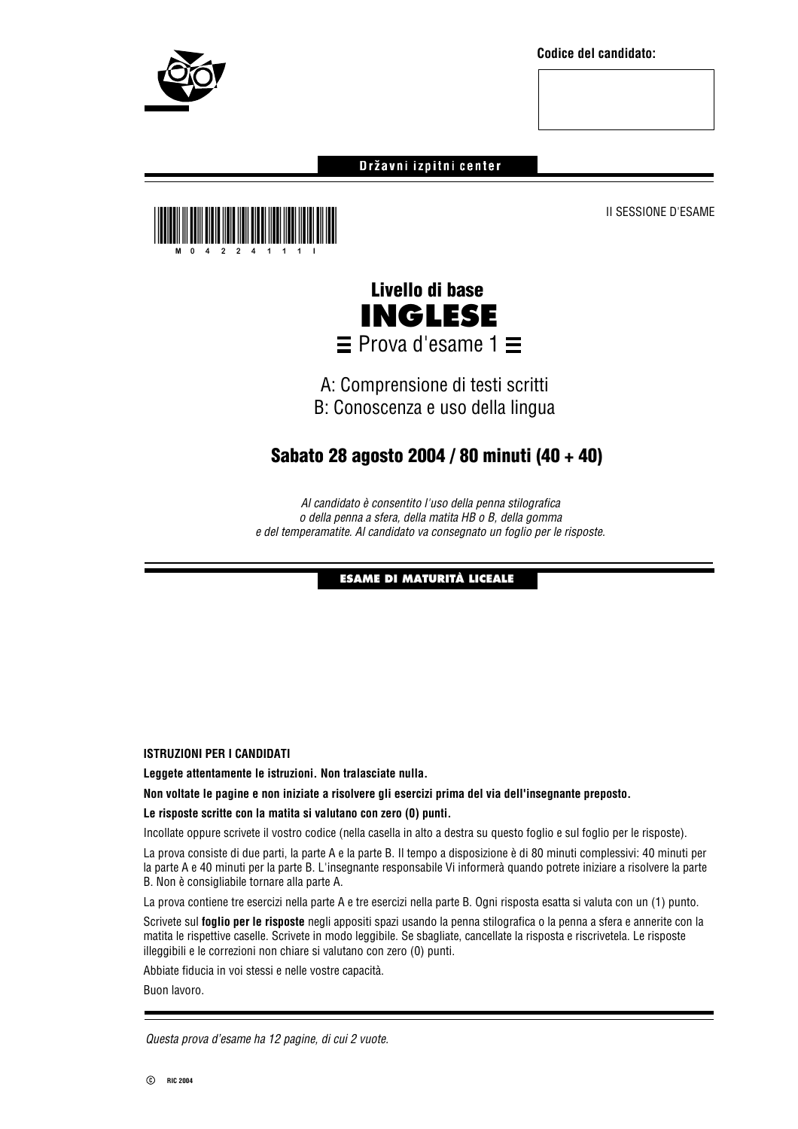

**Codice del candidato:**

### Državni izpitni center

II SESSIONE D'ESAME





### A: Comprensione di testi scritti B: Conoscenza e uso della lingua

### Sabato 28 agosto 2004 / 80 minuti (40 + 40)

Al candidato è consentito l'uso della penna stilografica o della penna a sfera, della matita HB o B, della gomma e del temperamatite. Al candidato va consegnato un foglio per le risposte.

### **ESAME DI MATURITÀ LICEALE**

### **ISTRUZIONI PER I CANDIDATI**

**Leggete attentamente le istruzioni. Non tralasciate nulla.**

**Non voltate le pagine e non iniziate a risolvere gli esercizi prima del via dell'insegnante preposto.**

### **Le risposte scritte con la matita si valutano con zero (0) punti.**

Incollate oppure scrivete il vostro codice (nella casella in alto a destra su questo foglio e sul foglio per le risposte).

La prova consiste di due parti, la parte A e la parte B. Il tempo a disposizione è di 80 minuti complessivi: 40 minuti per la parte A e 40 minuti per la parte B. L'insegnante responsabile Vi informerà quando potrete iniziare a risolvere la parte B. Non è consigliabile tornare alla parte A.

La prova contiene tre esercizi nella parte A e tre esercizi nella parte B. Ogni risposta esatta si valuta con un (1) punto.

Scrivete sul **foglio per le risposte** negli appositi spazi usando la penna stilografica o la penna a sfera e annerite con la matita le rispettive caselle. Scrivete in modo leggibile. Se sbagliate, cancellate la risposta e riscrivetela. Le risposte illeggibili e le correzioni non chiare si valutano con zero (0) punti.

Abbiate fiducia in voi stessi e nelle vostre capacità.

Buon lavoro.

Questa prova d'esame ha 12 pagine, di cui 2 vuote.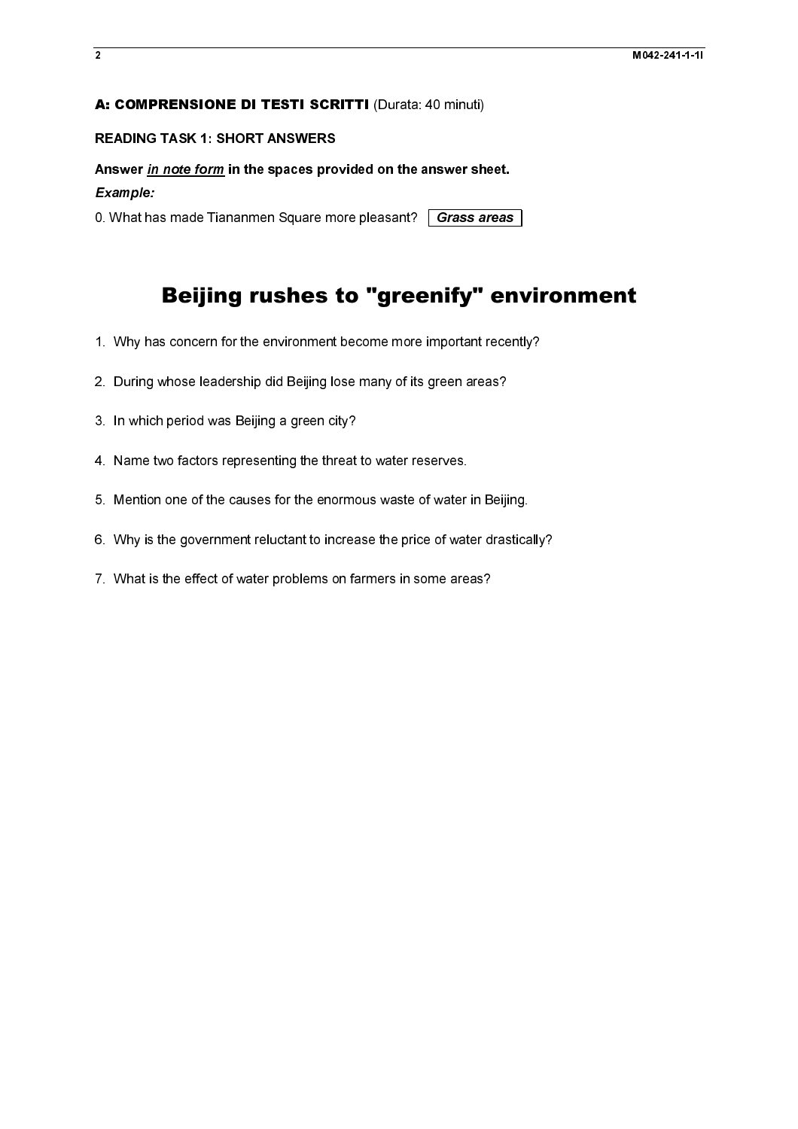## 

### Example:

### READING TASK 1: SHORT ANSWERS<br>
Answer *in note form* in the spaces provided<br>
Example:<br>
0. What has made Tiananmen Square more pl<br> **Beijing rushes to**<br>
1. Why has concern for the environment beco<br>
2. During whose leadership on the answer sheeds and the answer sheeds and the more important if  $\mathbf{g}$  memore important is any of its green areas waste of water in F<br>the price of water in F<br>the price of water in some areas? Market *in note form* in the spaces pro<br>Answer <u>in note form</u> in the spaces pro<br>Example:<br>0. What has made Tiananmen Square me<br>**Beijing rushes** 1<br>1. Why has concern for the environment<br>2. During whose leadership did Beijing Example:<br>Example:<br>Example:<br>O. What has made Tananmen Square more pleasant? [*Grass areas*<br>**Beijing rushes to "greenify" er**<br>1. Why has concern for the environment become more important rece<br>2. During whose leadership did B 0. What has made Transmission equation to the preceding Transmission of the environment become more important recently.<br>The thing whose leadership did Beijing lose many of its green areas?<br>2. During whose leadership did Be Beijing rushes to "greenify" environment

- 
- 
- 
- 3. Name two factors representing the threat<br>4. Name two factors representing the threat<br>5. Mention one of the causes for the enormed<br>6. Why is the government reluctant to increa<br>7. What is the effect of water problems on f
- 2. In which period was Beijing a green city?<br>2. Name two factors representing the threat to water reserves.<br>5. Mention one of the causes for the enormous waste of water in Beiji<br>6. Why is the government reluctant to increa 5. Mention one of the causes for the enormous waste of water<br>6. Why is the government reluctant to increase the price of wat<br>7. What is the effect of water problems on farmers in some are
- 1. During whose leadership did Beijing lose many of its green areas?<br>
1. In which period was Beijing a green city?<br>
4. Name two factors representing the threat to water reserves.<br>
5. Mention one of the causes for the enorm 5. Why is the government reluctant to increase the price of water drastical<br>7. What is the effect of water problems on farmers in some areas?<br>7. What is the effect of water problems on farmers in some areas?
- Fig. of the government relationship increase the prior of the control of the government relationship.<br>7. What is the effect of water problems on farmers in some areas?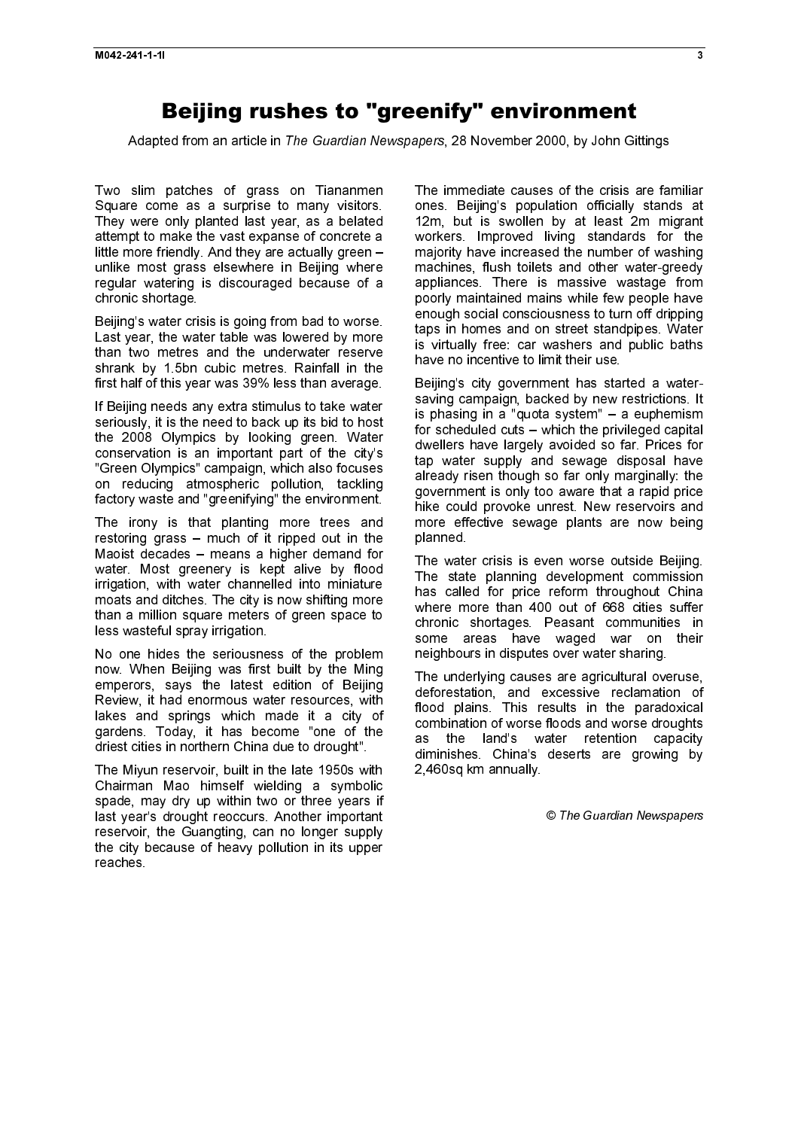### bei fram an extints in The Cuerdian Neuenannes. 20 Neuenaher 2000, by Jahr Citt

Adapted from an article in The Guardian Newspapers, 28 November 2000, by John Gittings

Two slim patches of grass on Tiananmen Square come as a surprise to many visitors. They were only planted last year, as a belated attempt to make the vast expanse of concrete a little more friendly. And they are actually green – unlike most grass elsewhere in Beijing where regular watering is discouraged because of a chronic shortage.

Beijing's water crisis is going from bad to worse. Last year, the water table was lowered by more than two metres and the underwater reserve shrank by 1.5bn cubic metres. Rainfall in the first half of this year was 39% less than average.

If Beijing needs any extra stimulus to take water seriously, it is the need to back up its bid to host the 2008 Olympics by looking green. Water conservation is an important part of the city's "Green Olympics" campaign, which also focuses on reducing atmospheric pollution, tackling factory waste and "greenifying" the environment.

The irony is that planting more trees and restoring grass – much of it ripped out in the Maoist decades – means a higher demand for water. Most greenery is kept alive by flood irrigation, with water channelled into miniature moats and ditches. The city is now shifting more than a million square meters of green space to less wasteful spray irrigation.

No one hides the seriousness of the problem now. When Beijing was first built by the Ming emperors, says the latest edition of Beijing Review, it had enormous water resources, with lakes and springs which made it a city of gardens. Today, it has become "one of the driest cities in northern China due to drought".

The Miyun reservoir, built in the late 1950s with Chairman Mao himself wielding a symbolic spade, may dry up within two or three years if last year's drought reoccurs. Another important reservoir, the Guangting, can no longer supply the city because of heavy pollution in its upper reaches.

The immediate causes of the crisis are familiar ones. Beijing's population officially stands at 12m, but is swollen by at least 2m migrant workers. Improved living standards for the majority have increased the number of washing machines, flush toilets and other water-greedy appliances. There is massive wastage from poorly maintained mains while few people have enough social consciousness to turn off dripping taps in homes and on street standpipes. Water is virtually free: car washers and public baths have no incentive to limit their use.

Beijing's city government has started a watersaving campaign, backed by new restrictions. It is phasing in a "quota system" – a euphemism for scheduled cuts – which the privileged capital dwellers have largely avoided so far. Prices for tap water supply and sewage disposal have already risen though so far only marginally: the government is only too aware that a rapid price hike could provoke unrest. New reservoirs and more effective sewage plants are now being planned.

The water crisis is even worse outside Beijing. The state planning development commission has called for price reform throughout China where more than 400 out of 668 cities suffer chronic shortages. Peasant communities in some areas have waged war on their neighbours in disputes over water sharing.

The underlying causes are agricultural overuse, deforestation, and excessive reclamation of flood plains. This results in the paradoxical combination of worse floods and worse droughts as the land's water retention capacity diminishes. China's deserts are growing by 2,460sq km annually.

© The Guardian Newspapers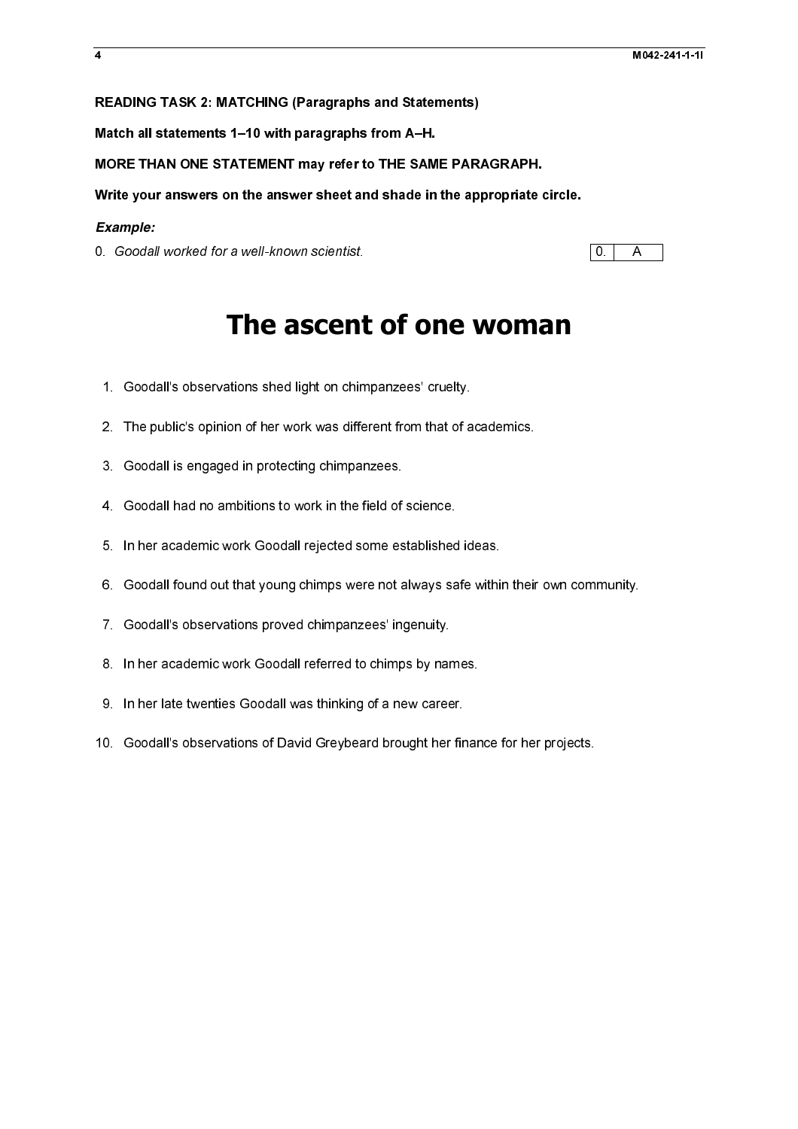READING TASK 2: MATCHING (Paragraphs and Statements)

Match all statements 1–10 with paragraphs from A–H.

MORE THAN ONE STATEMENT may refer to THE SAME PARAGRAPH.

Write your answers on the answer sheet and shade in the appropriate circle.

### *Example:*

0. Goodall worked for a well-known scientist.

 $\vert 0 \vert$ A

# 0. Goodall worked for a well-known scientist.<br>
The ascent of one woman<br>
1. Goodall's observations shed light on chimpanzeer' snully<br>
2. The publicist opinion of her work was different from the of academics<br>
3. Goodall is e The ascent of one woman

- 1. Goodall's observations shed light on chimpanzees' cruelty.
- 2. The public's opinion of her work was different from that of academics.
- 3. Goodall is engaged in protecting chimpanzees.
- 4. Goodall had no ambitions to work in the field of science.
- 5. In her academic work Goodall rejected some established ideas.
- 6. Goodall found out that young chimps were not always safe within their own community.
- 7. Goodall's observations proved chimpanzees' ingenuity.
- 8. In her academic work Goodall referred to chimps by names.
- 9. In her late twenties Goodall was thinking of a new career.
- 1. Goodall's observations shed light on chimpanzees' cruelty.<br>
2. The public's opinion of her work was different from that of a<br>
3. Goodall is engaged in protecting chimpanzees.<br>
4. Goodall had no ambitions to work in the 2. The public's opinion of her work was different from that of academics.<br>3. Goodall is engaged in protecting chimpanzees.<br>4. Goodall had no ambitions to work in the field of science.<br>5. In her academic work Goodall reject 3. Goodall had no ambitions to work in the field of<br>3. In her academic work Goodall rejected some es<br>3. Goodall's observations proved chimpanzees' ing<br>3. In her academic work Goodall referred to chimp<br>3. In her late twenti 4. The racademic work Goodall rejected some established<br>6. Goodall found out that young chimps were not always sa<br>7. Goodall's observations proved chimpanzees' ingenuity.<br>8. In her academic work Goodall referred to chimps 5. Goodall found out that young chimps were not always safe within<br>7. Goodall's observations proved chimpanzees' ingenuity.<br>8. In her academic work Goodall referred to chimps by names.<br>9. In her late twenties Goodall was t F. Goodall's observations proved chimpanzees' ingenuity.<br>
6. In her academic work Goodall referred to chimps by names.<br>
9. In her late twenties Goodall was thinking of a new career.<br>
10. Goodall's observations of David Gre 7. Goodall's observations proved chimpanzees' ingenuity.<br>8. In her academic work Goodall referred to chimps by nar<br>9. In her late twenties Goodall was thinking of a new caree<br>10. Goodall's observations of David Greybeard b 9. In her late twenties Goodall was thinking of a new career.<br>10. Goodall's observations of David Greybeard brought her finances.<br>10. Goodall's observations of David Greybeard brought her finances. 9. In Goodall's observations of David Greybeard brought her finant<br>intervalsed was the finance of a new career. The matrix<br>of a new career of a new career. The matrix of a new career of a new career. The<br>intervalsed was th 10. Goodall's observations of David Greybeard brought her finance for her projects. 10. Goodall's observations of David Greybeard brought her finance for her projects.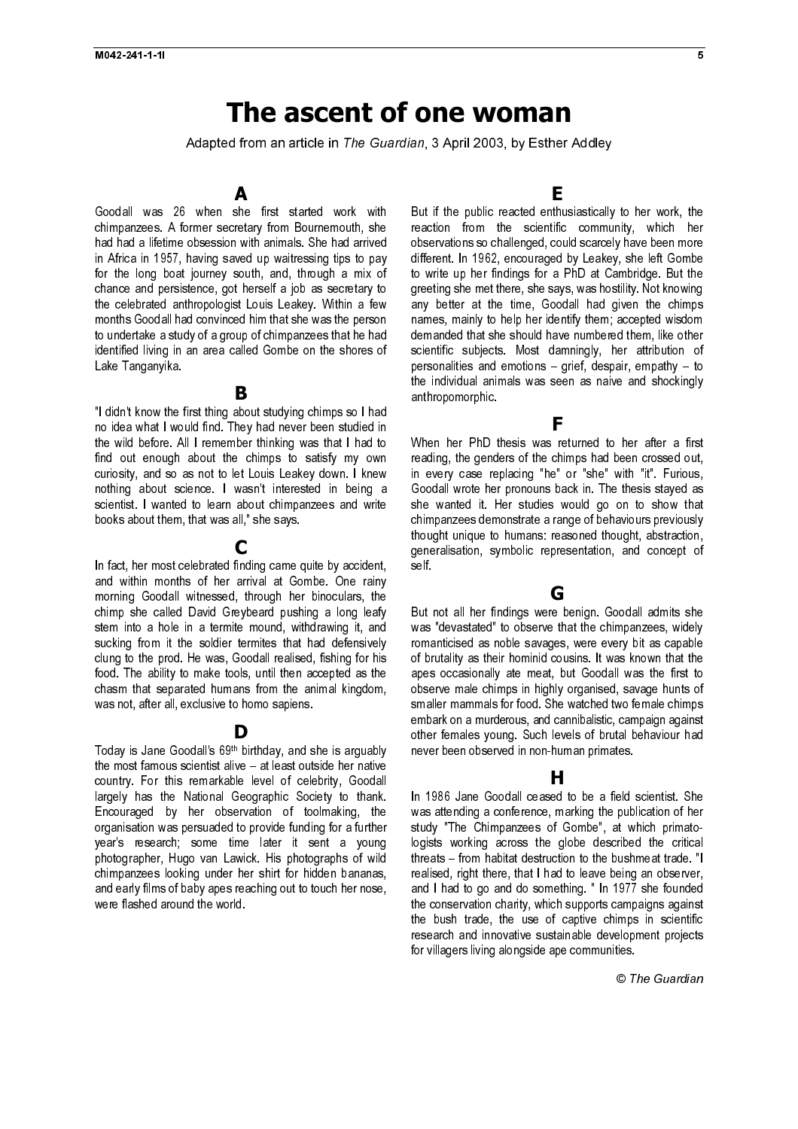### The ascent of one woman

Goodall was 26 when she first started work with chimpanzees. A former secretary from Bournemouth, she had had a lifetime obsession with animals. She had arrived in Africa in 1957, having saved up waitressing tips to pay for the long boat journey south, and, through a mix of chance and persistence, got herself a job as secretary to the celebrated anthropologist Louis Leakey. Within a few months Goodall had convinced him that she was the person to undertake a study of a group of chimpanzees that he had identified living in an area called Gombe on the shores of Lake Tanganyika.

### B

"I didn't know the first thing about studying chimps so I had no idea what I would find. They had never been studied in the wild before. All I remember thinking was that I had to find out enough about the chimps to satisfy my own curiosity, and so as not to let Louis Leakey down. I knew nothing about science. I wasn't interested in being a scientist. I wanted to learn about chimpanzees and write books about them, that was all," she says.

### C

In fact, her most celebrated finding came quite by accident, and within months of her arrival at Gombe. One rainy morning Goodall witnessed, through her binoculars, the chimp she called David Greybeard pushing a long leafy stem into a hole in a termite mound, withdrawing it, and sucking from it the soldier termites that had defensively clung to the prod. He was, Goodall realised, fishing for his food. The ability to make tools, until then accepted as the chasm that separated humans from the animal kingdom, was not, after all, exclusive to homo sapiens.

### D

(Chinfothial Ftforsk landssofter Ttdhied)に (Chinfothil = htfchwb = arcw of chinfothil = htfchwb = html = html = html = html = html = html = htm Today is Jane Goodall's 69th birthday, and she is arguably the most famous scientist alive – at least outside her native country. For this remarkable level of celebrity, Goodall largely has the National Geographic Society to thank. Encouraged by her observation of toolmaking, the organisation was persuaded to provide funding for a further year's research; some time later it sent a young photographer, Hugo van Lawick. His photographs of wild chimpanzees looking under her shirt for hidden bananas, and early films of baby apes reaching out to touch her nose, were flashed around the world.

E

**A**<br>
When she first started work with But the pubic reacted efficions<br>in The society from Bournmandh and reaction from the solentic communisors on with an<br>invariang sevel up watersang to buy of the entit of costanting to But if the public reacted enthusiastically to her work, the reaction from the scientific community, which her observations so challenged, could scarcely have been more different. In 1962, encouraged by Leakey, she left Gombe to write up her findings for a PhD at Cambridge. But the greeting she met there, she says, was hostility. Not knowing any better at the time, Goodall had given the chimps names, mainly to help her identify them; accepted wisdom demanded that she should have numbered them, like other scientific subjects. Most damningly, her attribution of personalities and emotions – grief, despair, empathy – to the individual animals was seen as naive and shockingly anthropomorphic.

When her PhD thesis was returned to her after a first reading, the genders of the chimps had been crossed out, in every case replacing "he" or "she" with "it". Furious, Goodall wrote her pronouns back in. The thesis stayed as she wanted it. Her studies would go on to show that chimpanzees demonstrate a range of behaviours previously thought unique to humans: reasoned thought, abstraction, generalisation, symbolic representation, and concept of self.

F

G

But not all her findings were benign. Goodall admits she was "devastated" to observe that the chimpanzees, widely romanticised as noble savages, were every bit as capable of brutality as their hominid cousins. It was known that the apes occasionally ate meat, but Goodall was the first to observe male chimps in highly organised, savage hunts of smaller mammals for food. She watched two female chimps embark on a murderous, and cannibalistic, campaign against other females young. Such levels of brutal behaviour had never been observed in non-human primates.

### H

In 1986 Jane Goodall ceased to be a field scientist. She was attending a conference, marking the publication of her study "The Chimpanzees of Gombe", at which primatologists working across the globe described the critical threats – from habitat destruction to the bushmeat trade. "I realised, right there, that I had to leave being an observer, and I had to go and do something. " In 1977 she founded the conservation charity, which supports campaigns against the bush trade, the use of captive chimps in scientific research and innovative sustainable development projects for villagers living alongside ape communities.

© The Guardian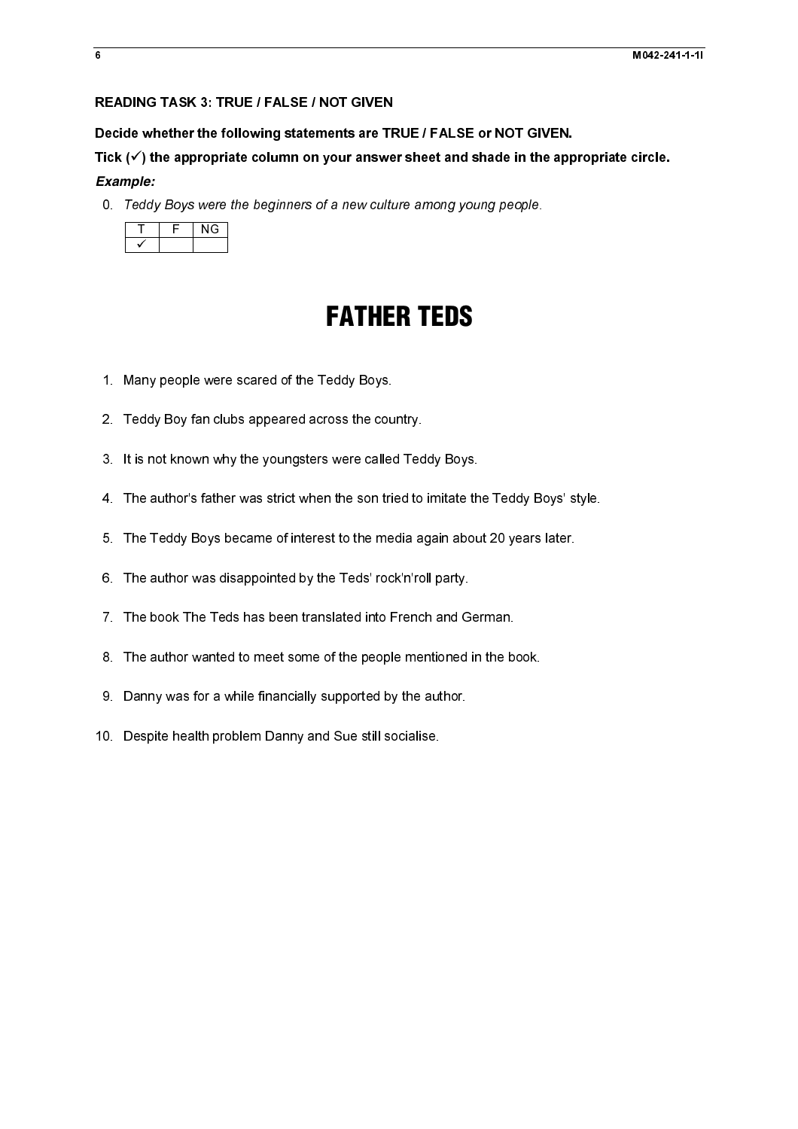### READING TASK 3: TRUE / FALSE / NOT GIVEN

Decide whether the following statements are TRUE / FALSE or NOT GIVEN.

Tick  $(\checkmark)$  the appropriate column on your answer sheet and shade in the appropriate circle. *Example:* 

0. Teddy Boys were the beginners of a new culture among young people.

### FATHER TEDS

- any people were<br>ddy Boy fan clul<br>s not known wh<sub>!</sub><br>le author's fathe<br>he Teddy Boys b<br>le author was dis<br>le book The Ted<br>anny was for a w<br>sspite health pro 1. Many people were scared of the Teddy Boys.
- 2. Teddy Boy fan clubs appeared across the country.
- 3. It is not known why the youngsters were called Teddy Boys.
- 0. Toddy Boys were the beginners of a new culture among young people.<br>  $\frac{1}{\sqrt{1-\frac{1}{\sqrt{1-\frac{1}{\sqrt{1-\frac{1}{\sqrt{1}}}}}}}}$ <br>  $\frac{1}{\sqrt{1-\frac{1}{\sqrt{1-\frac{1}{\sqrt{1-\frac{1}{\sqrt{1-\frac{1}{\sqrt{1-\frac{1}{\sqrt{1-\frac{1}{\sqrt{1-\frac{1}{\sqrt{1-\frac{1}{\sqrt{1-\frac{1}{\sqrt{1-\frac{1}{\sqrt{1-\frac{1}{\$ 2. Teddy Boy fan clubs appeared across the course of the control of the New York of the New York of the New York of the New York of the Teddy Boys became of interest to the meets. The Teddy Boys became of interest to the m 2. It is not known why the youngsters were called Ted<br>4. The author's father was strict when the son tried to<br>5. The Teddy Boys became of interest to the media a<sub>t</sub><br>6. The author was disappointed by the Teds' rock'n'ro<br>7. 3. The author's father was strict when the son tried to imitate th<br>3. The Teddy Boys became of interest to the media again about<br>6. The author was disappointed by the Teds' rock'n'roll party.<br>7. The book The Teds has been 4. The author's father was strict when the son tried to imitate the Teddy Boys' style.
- 4. The author's father was strict when the son tried to imitate the Teddy Boys' style.<br>5. The Teddy Boys became of interest to the media again about 20 years later.<br>6. The author was disappointed by the Teds' rock'n'roll p 5. The Teddy Boys became of interest to the media again about 20 years later.
- 6. The author was disappointed by the Teds' rock'n'roll party.
- 7. The book The Teds has been translated into French and German.
- 5. The author was disappointed by the Teds' rock'n'roll party.<br>
7. The book The Teds has been translated into French and German.<br>
8. The author wanted to meet some of the people mentioned in the book.<br>
9. Danny was for a w 6. The author was disappointed by the Teds' rock'n'roll party.<br>7. The book The Teds has been translated into French and G<br>8. The author wanted to meet some of the people mentioned<br>9. Danny was for a while financially suppo 8. The author wanted to meet some of the people mentioned in the been translated in the been set of the problem banny supported by the author.<br>10. Despite health problem Danny and Sue still socialise. 8. The author wanted to meet some of the people mentioned in the book.
- 8. Danny was for a while financially supported by the author.<br>10. Despite health problem Danny and Sue still socialise. 9. Danny was for a while financially supported by the author.
- 9. Despite health problem Danny and Sue still socialise.<br>10. Despite health problem Danny and Sue still socialise. 10. Despite health problem Danny and Sue still socialise. 10. Despite health problem Danny and Sue still socialise.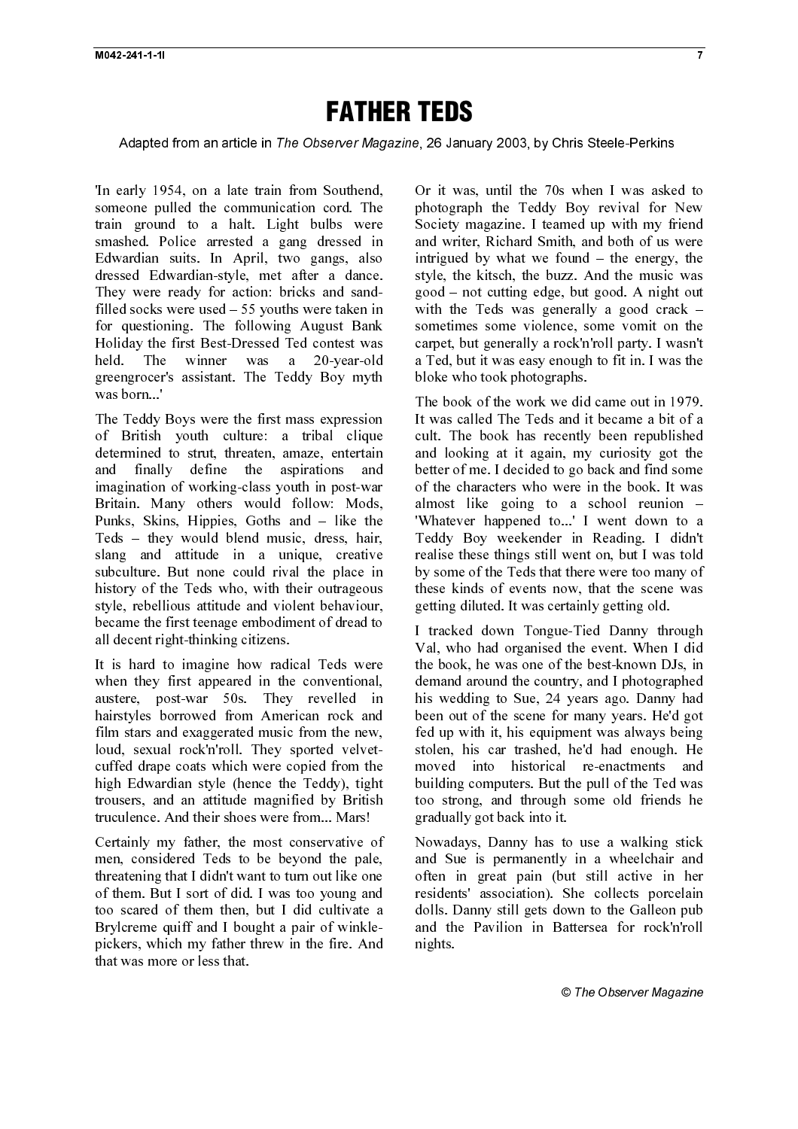### FATHER TEDS

'In early 1954, on a late train from Southend, someone pulled the communication cord. The train ground to a halt. Light bulbs were smashed. Police arrested a gang dressed in Edwardian suits. In April, two gangs, also dressed Edwardian-style, met after a dance. They were ready for action: bricks and sandfilled socks were used – 55 youths were taken in for questioning. The following August Bank Holiday the first Best-Dressed Ted contest was held. The winner was a 20-year-old greengrocer's assistant. The Teddy Boy myth was born...'

Early 1954, on a late train from Southout, Or it was until the 70s when I was also<br>conceptly the commutation cost. The absorption Leely Boy reversal for the<br>shock commutation cost. In a proposed in a mod writter Redact St - "st sh chiffhh wh h c c wilh h i sh wh h h chiffh chit C rt c th h kt - st sh cliffhh w r c c ailhe s sh sh a l r ahfl ch t t C r t c t l Ft The Teddy Boys were the first mass expression of British youth culture: a tribal clique determined to strut, threaten, amaze, entertain and finally define the aspirations and imagination of working-class youth in post-war Britain. Many others would follow: Mods, Punks, Skins, Hippies, Goths and – like the Teds – they would blend music, dress, hair, slang and attitude in a unique, creative subculture. But none could rival the place in history of the Teds who, with their outrageous style, rebellious attitude and violent behaviour, became the first teenage embodiment of dread to all decent right-thinking citizens.

It is hard to imagine how radical Teds were when they first appeared in the conventional, austere, post-war 50s. They revelled in hairstyles borrowed from American rock and film stars and exaggerated music from the new, loud, sexual rock'n'roll. They sported velvetcuffed drape coats which were copied from the high Edwardian style (hence the Teddy), tight trousers, and an attitude magnified by British truculence. And their shoes were from... Mars!

Certainly my father, the most conservative of men, considered Teds to be beyond the pale, threatening that I didn't want to turn out like one of them. But I sort of did. I was too young and too scared of them then, but I did cultivate a Brylcreme quiff and I bought a pair of winklepickers, which my father threw in the fire. And that was more or less that.

Or it was, until the 70s when I was asked to photograph the Teddy Boy revival for New Society magazine. I teamed up with my friend and writer, Richard Smith, and both of us were intrigued by what we found – the energy, the style, the kitsch, the buzz. And the music was good – not cutting edge, but good. A night out with the Teds was generally a good crack – sometimes some violence, some vomit on the carpet, but generally a rock'n'roll party. I wasn't a Ted, but it was easy enough to fit in. I was the bloke who took photographs.

The book of the work we did came out in 1979. It was called The Teds and it became a bit of a cult. The book has recently been republished and looking at it again, my curiosity got the better of me. I decided to go back and find some of the characters who were in the book. It was almost like going to a school reunion – 'Whatever happened to...' I went down to a Teddy Boy weekender in Reading. I didn't realise these things still went on, but I was told by some of the Teds that there were too many of these kinds of events now, that the scene was getting diluted. It was certainly getting old.

I tracked down Tongue-Tied Danny through Val, who had organised the event. When I did the book, he was one of the best-known DJs, in demand around the country, and I photographed his wedding to Sue, 24 years ago. Danny had been out of the scene for many years. He'd got fed up with it, his equipment was always being stolen, his car trashed, he'd had enough. He moved into historical re-enactments and building computers. But the pull of the Ted was too strong, and through some old friends he gradually got back into it.

Nowadays, Danny has to use a walking stick and Sue is permanently in a wheelchair and often in great pain (but still active in her residents' association). She collects porcelain dolls. Danny still gets down to the Galleon pub and the Pavilion in Battersea for rock'n'roll nights.

7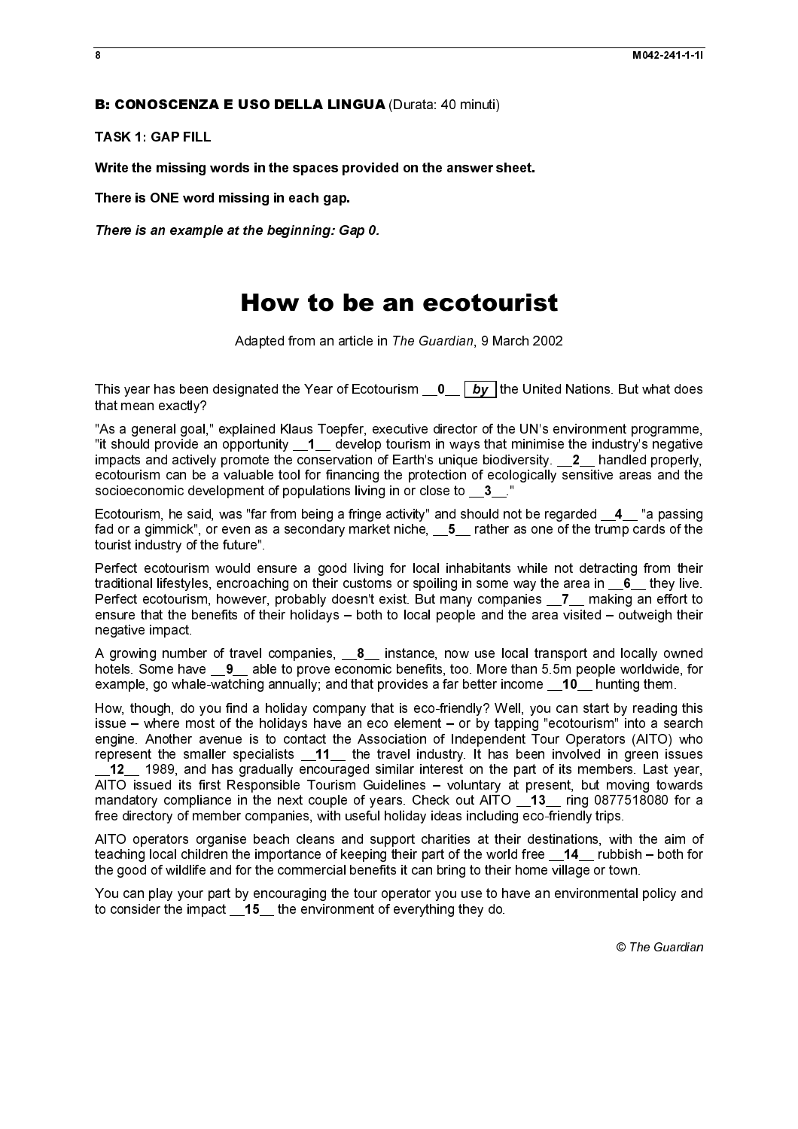TASK 1: GAP FILL

Write the missing words in the spaces provided on the answer sheet.

There is ONE word missing in each gap.

### How to be an ecotourist

Adapted from an article in The Guardian, 9 March 2002

that mean exactly?

"As a general goal," explained Klaus Toepfer, executive director of the UN's environment programme, "it should provide an opportunity \_1\_ develop tourism in ways that minimise the industry's negative impacts and actively promote the conservation of Earth's unique biodiversity. \_\_2\_\_ handled properly, ecotourism can be a valuable tool for financing the protection of ecologically sensitive areas and the socioeconomic development of populations living in or close to  $\overline{3}$ .

Ecotourism, he said, was "far from being a fringe activity" and should not be regarded \_\_4\_\_ "a passing fad or a gimmick", or even as a secondary market niche, **\_\_5**\_\_ rather as one of the trump cards of the tourist industry of the future".

Perfect ecotourism would ensure a good living for local inhabitants while not detracting from their traditional lifestyles, encroaching on their customs or spoiling in some way the area in  $\_\,$  6 they live. Perfect ecotourism, however, probably doesn't exist. But many companies \_\_7\_\_ making an effort to ensure that the benefits of their holidays – both to local people and the area visited – outweigh their negative impact.

A growing number of travel companies,  $\_\,$ 8 $\_\,$  instance, now use local transport and locally owned hotels. Some have  $\theta$  able to prove economic benefits, too. More than 5.5m people worldwide, for example, go whale-watching annually; and that provides a far better income  $\overline{\phantom{a}}$  10 hunting them.

**B: CONOSCENZA E USO DELLA LINGUA** (Durata: 40 minuti)<br>TASK 1: GAP FILL<br>Write the missing words in the spaces provided on the answer s<br>There is ONE word missing in each gap.<br>There is ONE word missing in each gap.<br>There is There is an example at the beginning: Gap 0.<br>
Adapted from an article in<br>
Adapted from an article in<br>
This year has been designated the Year of Ecott<br>
that mean exactly?<br>
"As a general goal," explained Klaus Toepfer, ex<br>
T This year has been designated the Year of Ecotourism  $\underline{.0} = \underline{[by]}$  the United Nations. But what does<br>This mean exactly?<br>
"As a general goal." exploite Klaus Toepfer, executive director of the UNIs environment programme, How, though, do you find a holiday company that is eco-friendly? Well, you can start by reading this issue – where most of the holidays have an eco element – or by tapping "ecotourism" into a search engine. Another avenue is to contact the Association of Independent Tour Operators (AITO) who represent the smaller specialists \_11\_ the travel industry. It has been involved in green issues \_\_12\_\_ 1989, and has gradually encouraged similar interest on the part of its members. Last year, AITO issued its first Responsible Tourism Guidelines – voluntary at present, but moving towards mandatory compliance in the next couple of years. Check out AITO **13** ring 0877518080 for a free directory of member companies, with useful holiday ideas including eco-friendly trips.

AITO operators organise beach cleans and support charities at their destinations, with the aim of teaching local children the importance of keeping their part of the world free \_\_14\_\_ rubbish – both for the good of wildlife and for the commercial benefits it can bring to their home village or town.

You can play your part by encouraging the tour operator you use to have an environmental policy and to consider the impact 15 the environment of everything they do.

© The Guardian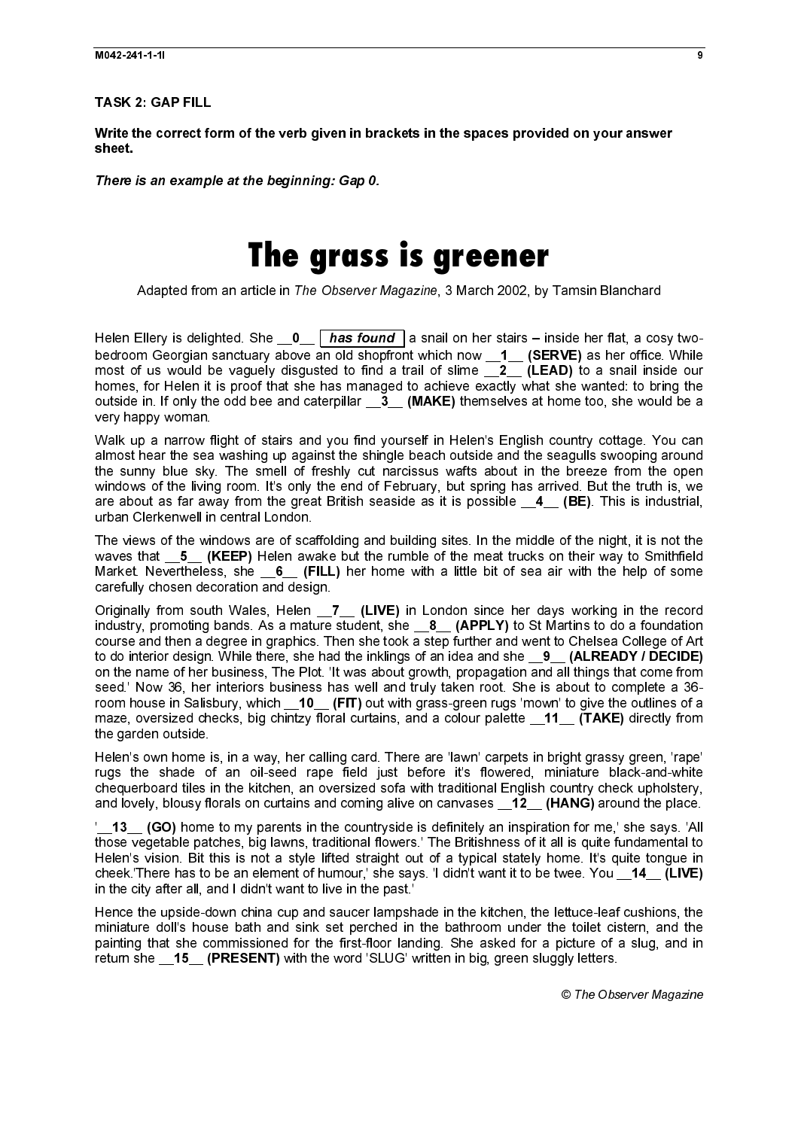TASK 2: GAP FILL

Write the correct form of the verb given in brackets in the spaces provided on your answer sheet.

There is an example at the beginning: Gap 0.

### **The grass is greener**

Adapted from an article in The Observer Magazine, 3 March 2002, by Tamsin Blanchard

bedroom Georgian sanctuary above an old shopfront which now \_1\_ (SERVE) as her office. While most of us would be vaguely disgusted to find a trail of slime  $2$  (LEAD) to a snail inside our homes, for Helen it is proof that she has managed to achieve exactly what she wanted: to bring the outside in. If only the odd bee and caterpillar \_\_3\_ (MAKE) themselves at home too, she would be a very happy woman.

Walk up a narrow flight of stairs and you find yourself in Helen's English country cottage. You can almost hear the sea washing up against the shingle beach outside and the seagulls swooping around the sunny blue sky. The smell of freshly cut narcissus wafts about in the breeze from the open windows of the living room. It's only the end of February, but spring has arrived. But the truth is, we are about as far away from the great British seaside as it is possible  $_4$  (BE). This is industrial, urban Clerkenwell in central London.

The views of the windows are of scaffolding and building sites. In the middle of the night, it is not the waves that \_5\_ (KEEP) Helen awake but the rumble of the meat trucks on their way to Smithfield Market. Nevertheless, she \_6\_ (FILL) her home with a little bit of sea air with the help of some carefully chosen decoration and design.

There is an example at the beginning: Gap 0.<br>
There is an example at the beginning: Gap 0.<br>
Helen Ellery is delighted. She  $\frac{0}{\sqrt{16}}$   $\frac{0}{\sqrt{16}}$   $\frac{0}{\sqrt{16}}$   $\frac{0}{\sqrt{16}}$   $\frac{0}{\sqrt{16}}$  bedroom Georgian sanctuary ab Adapted from an article in The Observer Magazine, 3 March 2002, by Tamsin Blanchard Helen Eler State and the state of the state of the found a snail on her state - mush her the lat, a cosy two-<br>Helen Elery is delighted. She cosy two-<br>sections found a state of the state found a state of the state of the st Originally from south Wales, Helen \_7\_ (LIVE) in London since her days working in the record industry, promoting bands. As a mature student, she \_\_8\_\_ (APPLY) to St Martins to do a foundation course and then a degree in graphics. Then she took a step further and went to Chelsea College of Art to do interior design. While there, she had the inklings of an idea and she **9** (ALREADY / DECIDE) on the name of her business, The Plot. 'It was about growth, propagation and all things that come from seed.' Now 36, her interiors business has well and truly taken root. She is about to complete a 36 room house in Salisbury, which \_\_10\_\_ (FIT) out with grass-green rugs 'mown' to give the outlines of a maze, oversized checks, big chintzy floral curtains, and a colour palette \_\_11\_\_ (TAKE) directly from the garden outside.

Helen's own home is, in a way, her calling card. There are 'lawn' carpets in bright grassy green, 'rape' rugs the shade of an oil-seed rape field just before it's flowered, miniature black-and-white chequerboard tiles in the kitchen, an oversized sofa with traditional English country check upholstery, and lovely, blousy florals on curtains and coming alive on canvases **12** (HANG) around the place.

13 (GO) home to my parents in the countryside is definitely an inspiration for me,' she says. 'All those vegetable patches, big lawns, traditional flowers.' The Britishness of it all is quite fundamental to Helen's vision. Bit this is not a style lifted straight out of a typical stately home. It's quite tongue in cheek.'There has to be an element of humour,' she says. 'I didn't want it to be twee. You \_\_14\_ (LIVE) in the city after all, and I didn't want to live in the past.'

Hence the upside-down china cup and saucer lampshade in the kitchen, the lettuce-leaf cushions, the miniature doll's house bath and sink set perched in the bathroom under the toilet cistern, and the painting that she commissioned for the first-floor landing. She asked for a picture of a slug, and in return she \_\_15\_\_ (PRESENT) with the word 'SLUG' written in big, green sluggly letters.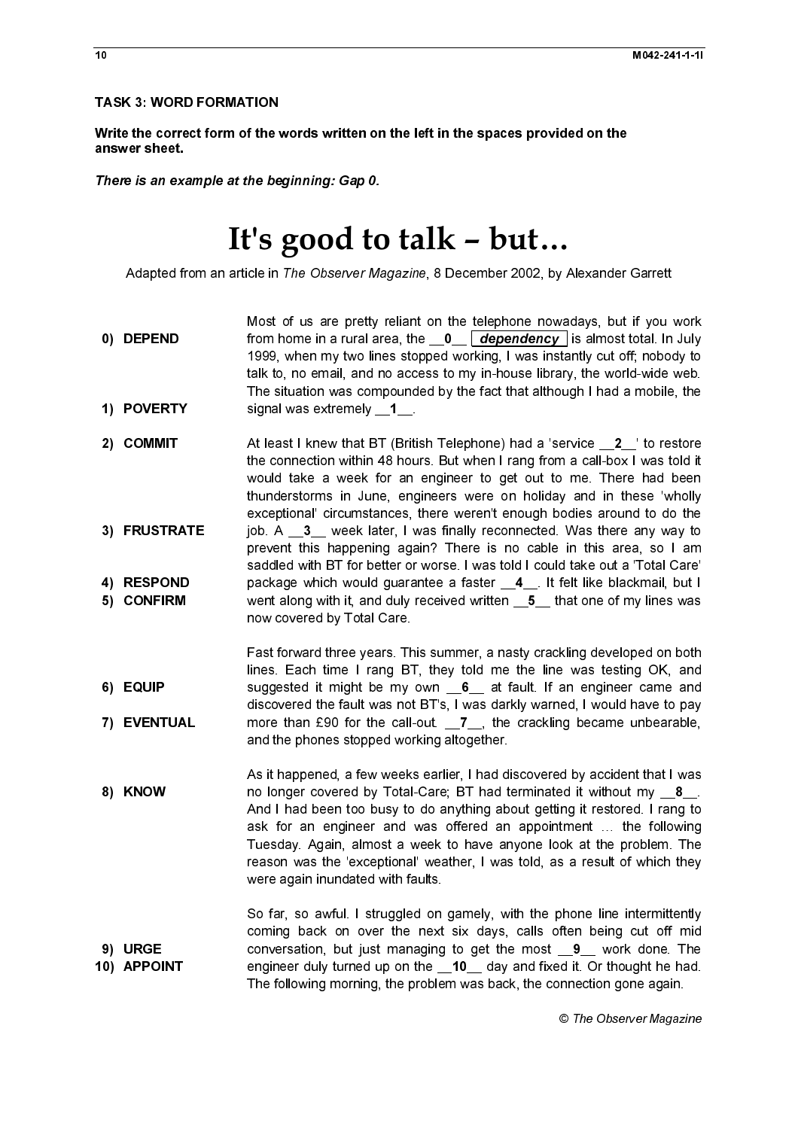### It's good to talk – but…

- Most of us are pretty reliant on the telephone nowadays, but if you work 1999, when my two lines stopped working, I was instantly cut off; nobody to talk to, no email, and no access to my in-house library, the world-wide web. The situation was compounded by the fact that although I had a mobile, the
- Write the correct form of the values<br>
There is an example at the be<br>
There is an example at the be<br>
There is an example at the be<br>
The start of the start<br>
1999, talk to<br>
The start<br>
1999, talk to<br>
The start<br>
1999, talk to<br> answer sheet.<br> **IT's good to talk** – but  $\ldots$ <br>
Adapted from an article in The *Observer Magezine*. 8 December 2002, by Alexander<br> **Most of us are protty relant on the <u>wordbore nowadays</u>, but<br>
10) DEPEND<br>
10) MOSt of us** There is an examples<br>Adapted from<br>1) POVERTY<br>2) COMMIT<br>3) FRUSTRA<br>4) RESPOND<br>5) CONFIRM<br>6) EQUIP<br>7) EVENTUA<br>8) KNOW<br>8) WRGE<br>10) APPOINT THAT SUND MOVED INTO SUNNED AND DRIVING THE SUND NOTE THAT SUND THE SUND THE SUND ON THE SUND AND SUND THE SUND WO UNIT THE SUND WORK THE SUND WAS CONDUCT AND MOVED AND SUND AND SUND AND SUND THE SUND AND SUND AND SUND THA Adapted from an article in The Observer Magazine, 8 December 2002, by Alexander Garrett<br>
Mant of us are orethy reliefation to the tells phone rowandomy but if your but<br>
from home in a unit area to be a dispersion for the 1) POVERT)<br>2) COMMIT<br>3) FRUSTRA<br>4) RESPONI<br>5) CONFIRM<br>6) EQUIP<br>7) EVENTUA<br>8) KNOW<br>10) APPOINT 2) COMMIT<br>3) FRUSTRAT<br>4) RESPOND<br>5) CONFIRM<br>6) EQUIP<br>7) EVENTUAI<br>8) KNOW<br>9) URGE<br>10) APPOINT 3) FRUSTRJ<br>4) RESPON<br>5) CONFIRM<br>6) EQUIP<br>7) EVENTUJ<br>8) KNOW<br>10) APPOINT from home in a rural area, the  $-\Delta_{\text{L}}$  dependency  $\mu$  is sincest total. In July<br>1699 when in a rural area, the  $-\Delta_{\text{L}}$  dependency is since to the interview of the fit is no email, and no access to my in-house libra signal was extremely  $\_1$ .<br>At least I knew that BT (Britite the connection within 48 hou would take a week for an thunderstorms in June, engthouse a week for an exceptional' circumstances, ijob. A  $\_3$  week later, I wer At least It knew that BT (British Telephone) had a 'service \_\_2\_' to restore<br>the connection within 48 hours. But when I rang form a call-box I was told it<br>would take a week for an engineer to get out to me. There had been the connection within 48 hours. But when I rang from a call-box I was told it would take a week for an engineer to get out to me. There had been thunderstorms in June, engineers were on holiday and in these 'wholly exceptional' circumstances, there weren't enough bodies around to do the prevent this happening again? There is no cable in this area, so I am saddled with BT for better or worse. I was told I could take out a 'Total Care' now covered by Total Care.

Fast forward three years. This summer, a nasty crackling developed on both lines. Each time I rang BT, they told me the line was testing OK, and discovered the fault was not BT's, I was darkly warned, I would have to pay and the phones stopped working altogether.

4) RESPOND<br>5) CONFIRM<br>6) EQUIP<br>7) EVENTUAL<br>8) KNOW<br>9) URGE<br>10) APPOINT 5) CONFIRM<br>6) EQUIP<br>7) EVENTUAL<br>8) KNOW<br>9) URGE<br>10) APPOINT 6) EQUIP<br>7) EVENTUAI<br>8) KNOW<br>9) URGE<br>10) APPOINT 7) EVENT<br>8) KNOW<br>9) URGE<br>10) APPOII 3) KNOW<br>9) URGE<br>10) APPOINT 9) URGE<br>10) APPOIM<br>10) APPOIM job. A  $-3$ —week later, I was finally reconnected. Was there any way to there this happening again? There is no cable in this area, so I am staded with BT for better or worse. I was told I could take out a "Total Care'<br>pa package which would guarantee a faster  $\frac{4}{-}$ . It felt like blackmail, but I<br>went along with it, and duly received written  $\frac{5}{-}$  that one of my lines was<br>now covered by Total Care.<br>Fast forward three years. This su went along with it, and duly received written  $-5$  that one of my lines was<br>now covered by Total Care.<br>Fast forward three years. This summer, a nasty crackling developed on both<br>lines. Each time I rang BT, they told me th suggested it might be my own  $\underline{6}$  at fault. If an engineer came and<br>discovered the fault was not BT's, I was darkly warned, I would have to pay<br>more than 900 for the call-out.  $\underline{7}$ , the cracking became unbearable, more than £90 for the call-out.  $\underline{\ }J$ , the crackling became unbearable,<br>and the phones stopped working altogether.<br>As it happened, a few weeks earlier, I had discovered by accident that I was<br>no longer covered by Total As it happened, a few weeks earlier, I had discovered by accident that I was no longer covered by Total-Care; BT had terminated it without my  $\_8$ \_.<br>And I had been too busy to do anything about getting it restored. I rang to<br>ask for an engineer and was offered an appointment ... the following<br>Tue And I had been too busy to do anything about getting it restored. I rang to ask for an engineer and was offered an appointment … the following Tuesday. Again, almost a week to have anyone look at the problem. The reason was the 'exceptional' weather, I was told, as a result of which they were again inundated with faults.

 $\begin{array}{c}\n1 \\
1\n\end{array}$   $\frac{1}{2}$   $\begin{array}{c}\n1 \\
1\n\end{array}$  $\frac{1}{2}$   $\frac{1}{2}$   $\frac{1}{2}$  $\begin{array}{c}\n\text{1} \\
\text{2} \\
\text{3} \\
\text{4}\n\end{array}$  $\begin{array}{c}\n1 \\
2\n\end{array}$  $\begin{array}{c}\n\frac{1}{2} \\
\frac{1}{2} \\
\frac{1}{2} \\
\frac{1}{2} \\
\frac{1}{2} \\
\frac{1}{2} \\
\frac{1}{2} \\
\frac{1}{2} \\
\frac{1}{2} \\
\frac{1}{2} \\
\frac{1}{2} \\
\frac{1}{2} \\
\frac{1}{2} \\
\frac{1}{2} \\
\frac{1}{2} \\
\frac{1}{2} \\
\frac{1}{2} \\
\frac{1}{2} \\
\frac{1}{2} \\
\frac{1}{2} \\
\frac{1}{2} \\
\frac{1}{2} \\
\frac{1}{2} \\
\frac{1}{2} \\
\frac{1}{2} \\
\frac{1}{2} \\
\frac{1$  $\begin{array}{c}\n\text{1} \\
\text{2} \\
\text{3} \\
\text{4}\n\end{array}$  $\begin{array}{c}\n1 \\
2\n\end{array}$   $\begin{array}{c}\n\mathbf{1} \\
\mathbf{1}\n\end{array}$   $\frac{1}{2}$  $\begin{bmatrix} 1 \\ 1 \end{bmatrix}$  $\begin{array}{c} \n\mathbf{1} \\
\mathbf{2} \\
\mathbf{3} \\
\mathbf{4} \\
\mathbf{5} \\
\mathbf{5} \\
\mathbf{6} \\
\mathbf{6} \\
\mathbf{7} \\
\mathbf{8} \\
\mathbf{9} \\
\mathbf{1} \\
\mathbf{1} \\
\mathbf{1} \\
\mathbf{1} \\
\mathbf{2} \\
\mathbf{2} \\
\mathbf{3} \\
\mathbf{5} \\
\mathbf{1} \\
\mathbf{2} \\
\mathbf{1} \\
\mathbf{2} \\
\mathbf{3} \\
\mathbf{1} \\
\mathbf{2} \\
\mathbf{3} \\
\mathbf{1} \\
\mathbf{2} \\
\mathbf{3} \\
\$  $\frac{1}{2}$  $\frac{1}{2}$  $\begin{bmatrix} 1 \\ 1 \end{bmatrix}$  $\overline{1}$  $\overline{10)}$  APPOI 10) APPOINT So far, so awful. I struggled on gamely, with the phone line intermittently coming back on over the next six days, calls often being cut off mid conversation, but just managing to get the most <u>9</u>\_work done. The<br>engineer duly turned up on the **\_10\_** day and fixed it. Or thought he had.<br>The following morning, the problem was back, the connection gone again.<br>© The Ob engineer duly turned up on the \_\_**10**\_\_ day and fixed it. Or thought he had.<br>The following morning, the problem was back, the connection gone again.<br>© The Observer Magazine The following morning, the problem was back, the connection gone again.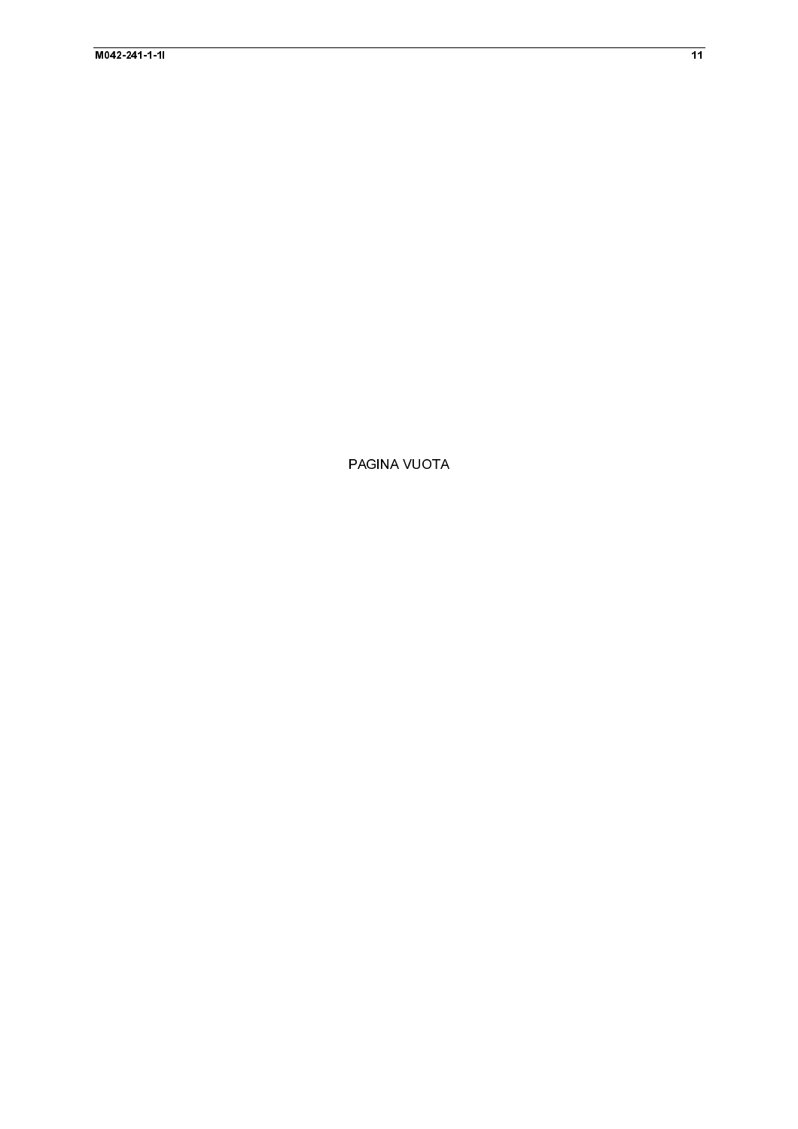PAGINA VUOTA